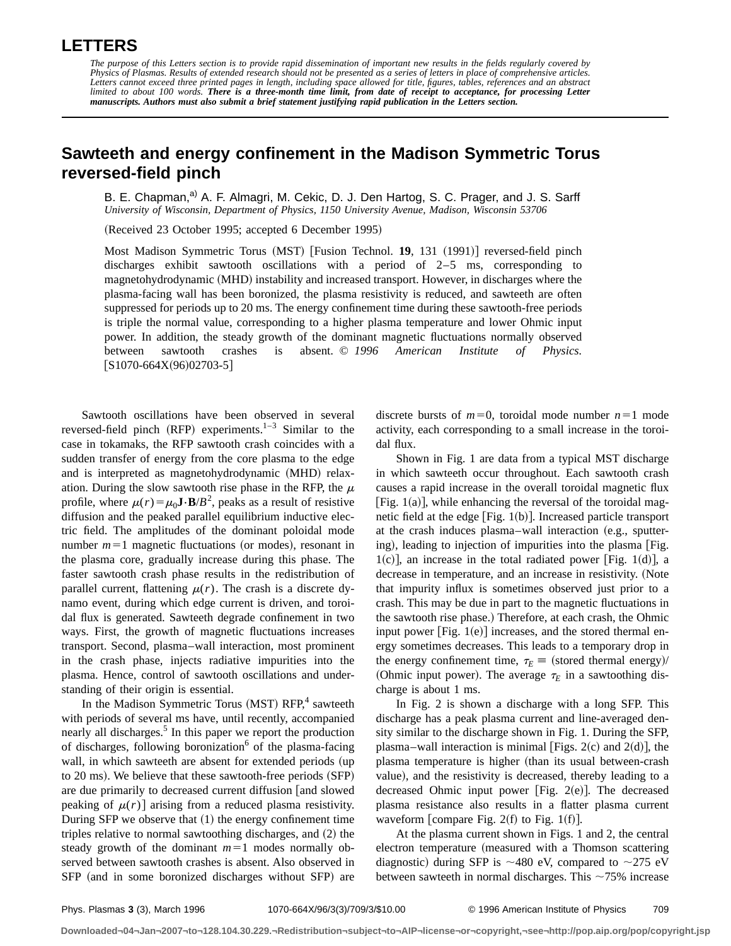## **LETTERS**

## **Sawteeth and energy confinement in the Madison Symmetric Torus reversed-field pinch**

B. E. Chapman,<sup>a)</sup> A. F. Almagri, M. Cekic, D. J. Den Hartog, S. C. Prager, and J. S. Sarff *University of Wisconsin, Department of Physics, 1150 University Avenue, Madison, Wisconsin 53706*

(Received 23 October 1995; accepted 6 December 1995)

Most Madison Symmetric Torus (MST) [Fusion Technol. 19, 131 (1991)] reversed-field pinch discharges exhibit sawtooth oscillations with a period of 2–5 ms, corresponding to magnetohydrodynamic (MHD) instability and increased transport. However, in discharges where the plasma-facing wall has been boronized, the plasma resistivity is reduced, and sawteeth are often suppressed for periods up to 20 ms. The energy confinement time during these sawtooth-free periods is triple the normal value, corresponding to a higher plasma temperature and lower Ohmic input power. In addition, the steady growth of the dominant magnetic fluctuations normally observed between sawtooth crashes is absent. © *1996 American Institute of Physics.*  $[S1070-664X(96)02703-5]$ 

Sawtooth oscillations have been observed in several reversed-field pinch (RFP) experiments.<sup>1–3</sup> Similar to the case in tokamaks, the RFP sawtooth crash coincides with a sudden transfer of energy from the core plasma to the edge and is interpreted as magnetohydrodynamic (MHD) relaxation. During the slow sawtooth rise phase in the RFP, the  $\mu$ profile, where  $\mu(r) = \mu_0 \mathbf{J} \cdot \mathbf{B}/B^2$ , peaks as a result of resistive diffusion and the peaked parallel equilibrium inductive electric field. The amplitudes of the dominant poloidal mode number  $m=1$  magnetic fluctuations (or modes), resonant in the plasma core, gradually increase during this phase. The faster sawtooth crash phase results in the redistribution of parallel current, flattening  $\mu(r)$ . The crash is a discrete dynamo event, during which edge current is driven, and toroidal flux is generated. Sawteeth degrade confinement in two ways. First, the growth of magnetic fluctuations increases transport. Second, plasma–wall interaction, most prominent in the crash phase, injects radiative impurities into the plasma. Hence, control of sawtooth oscillations and understanding of their origin is essential.

In the Madison Symmetric Torus (MST) RFP,<sup>4</sup> sawteeth with periods of several ms have, until recently, accompanied nearly all discharges.<sup>5</sup> In this paper we report the production of discharges, following boronization $\delta$  of the plasma-facing wall, in which sawteeth are absent for extended periods (up to  $20 \text{ ms}$ ). We believe that these sawtooth-free periods  $(SFP)$ are due primarily to decreased current diffusion and slowed peaking of  $\mu(r)$  arising from a reduced plasma resistivity. During SFP we observe that  $(1)$  the energy confinement time triples relative to normal sawtoothing discharges, and  $(2)$  the steady growth of the dominant  $m=1$  modes normally observed between sawtooth crashes is absent. Also observed in SFP (and in some boronized discharges without SFP) are discrete bursts of  $m=0$ , toroidal mode number  $n=1$  mode activity, each corresponding to a small increase in the toroidal flux.

Shown in Fig. 1 are data from a typical MST discharge in which sawteeth occur throughout. Each sawtooth crash causes a rapid increase in the overall toroidal magnetic flux [Fig.  $1(a)$ ], while enhancing the reversal of the toroidal magnetic field at the edge  $[Fig. 1(b)].$  Increased particle transport at the crash induces plasma–wall interaction  $(e.g.,$  sputtering), leading to injection of impurities into the plasma [Fig.  $1(c)$ , an increase in the total radiated power [Fig. 1(d)], a decrease in temperature, and an increase in resistivity. (Note that impurity influx is sometimes observed just prior to a crash. This may be due in part to the magnetic fluctuations in the sawtooth rise phase.) Therefore, at each crash, the Ohmic input power  $[Fig. 1(e)]$  increases, and the stored thermal energy sometimes decreases. This leads to a temporary drop in the energy confinement time,  $\tau_E \equiv$  (stored thermal energy)/ (Ohmic input power). The average  $\tau_E$  in a sawtoothing discharge is about 1 ms.

In Fig. 2 is shown a discharge with a long SFP. This discharge has a peak plasma current and line-averaged density similar to the discharge shown in Fig. 1. During the SFP, plasma–wall interaction is minimal [Figs. 2(c) and 2(d)], the plasma temperature is higher (than its usual between-crash value), and the resistivity is decreased, thereby leading to a decreased Ohmic input power  $|Fig. 2(e)|$ . The decreased plasma resistance also results in a flatter plasma current waveform [compare Fig.  $2(f)$  to Fig. 1(f)].

At the plasma current shown in Figs. 1 and 2, the central electron temperature (measured with a Thomson scattering diagnostic) during SFP is  $\sim$ 480 eV, compared to  $\sim$ 275 eV between sawteeth in normal discharges. This  $\sim$ 75% increase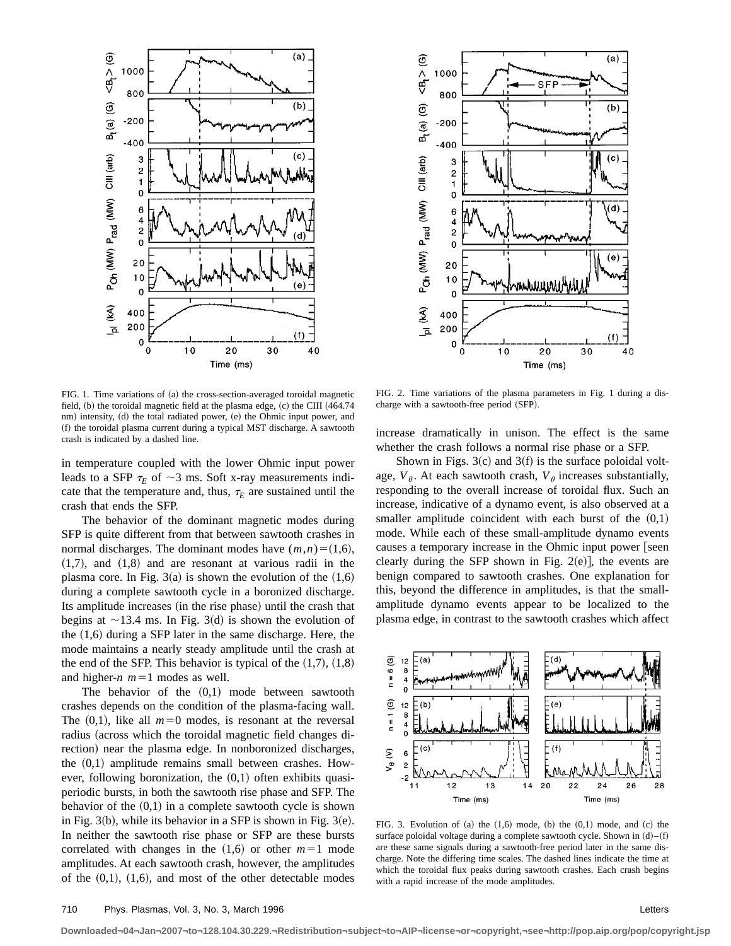

FIG. 1. Time variations of (a) the cross-section-averaged toroidal magnetic field,  $(b)$  the toroidal magnetic field at the plasma edge,  $(c)$  the CIII  $(464.74)$ nm) intensity, (d) the total radiated power, (e) the Ohmic input power, and (f) the toroidal plasma current during a typical MST discharge. A sawtooth crash is indicated by a dashed line.

in temperature coupled with the lower Ohmic input power leads to a SFP  $\tau_E$  of  $\sim$ 3 ms. Soft x-ray measurements indicate that the temperature and, thus,  $\tau_E$  are sustained until the crash that ends the SFP.

The behavior of the dominant magnetic modes during SFP is quite different from that between sawtooth crashes in normal discharges. The dominant modes have  $(m,n)=(1,6)$ ,  $(1,7)$ , and  $(1,8)$  and are resonant at various radii in the plasma core. In Fig.  $3(a)$  is shown the evolution of the  $(1,6)$ during a complete sawtooth cycle in a boronized discharge. Its amplitude increases (in the rise phase) until the crash that begins at  $\sim$ 13.4 ms. In Fig. 3(d) is shown the evolution of the  $(1,6)$  during a SFP later in the same discharge. Here, the mode maintains a nearly steady amplitude until the crash at the end of the SFP. This behavior is typical of the  $(1,7)$ ,  $(1,8)$ and higher- $n$   $m=1$  modes as well.

The behavior of the  $(0,1)$  mode between sawtooth crashes depends on the condition of the plasma-facing wall. The  $(0,1)$ , like all  $m=0$  modes, is resonant at the reversal radius (across which the toroidal magnetic field changes direction) near the plasma edge. In nonboronized discharges, the  $(0,1)$  amplitude remains small between crashes. However, following boronization, the  $(0,1)$  often exhibits quasiperiodic bursts, in both the sawtooth rise phase and SFP. The behavior of the  $(0,1)$  in a complete sawtooth cycle is shown in Fig.  $3(b)$ , while its behavior in a SFP is shown in Fig.  $3(e)$ . In neither the sawtooth rise phase or SFP are these bursts correlated with changes in the  $(1,6)$  or other  $m=1$  mode amplitudes. At each sawtooth crash, however, the amplitudes of the  $(0,1)$ ,  $(1,6)$ , and most of the other detectable modes



FIG. 2. Time variations of the plasma parameters in Fig. 1 during a discharge with a sawtooth-free period (SFP).

increase dramatically in unison. The effect is the same whether the crash follows a normal rise phase or a SFP.

Shown in Figs.  $3(c)$  and  $3(f)$  is the surface poloidal voltage,  $V_{\theta}$ . At each sawtooth crash,  $V_{\theta}$  increases substantially, responding to the overall increase of toroidal flux. Such an increase, indicative of a dynamo event, is also observed at a smaller amplitude coincident with each burst of the  $(0,1)$ mode. While each of these small-amplitude dynamo events causes a temporary increase in the Ohmic input power [seen] clearly during the SFP shown in Fig.  $2(e)$ , the events are benign compared to sawtooth crashes. One explanation for this, beyond the difference in amplitudes, is that the smallamplitude dynamo events appear to be localized to the plasma edge, in contrast to the sawtooth crashes which affect



FIG. 3. Evolution of  $(a)$  the  $(1,6)$  mode,  $(b)$  the  $(0,1)$  mode, and  $(c)$  the surface poloidal voltage during a complete sawtooth cycle. Shown in  $(d)$ – $(f)$ are these same signals during a sawtooth-free period later in the same discharge. Note the differing time scales. The dashed lines indicate the time at which the toroidal flux peaks during sawtooth crashes. Each crash begins with a rapid increase of the mode amplitudes.

**Downloaded¬04¬Jan¬2007¬to¬128.104.30.229.¬Redistribution¬subject¬to¬AIP¬license¬or¬copyright,¬see¬http://pop.aip.org/pop/copyright.jsp**